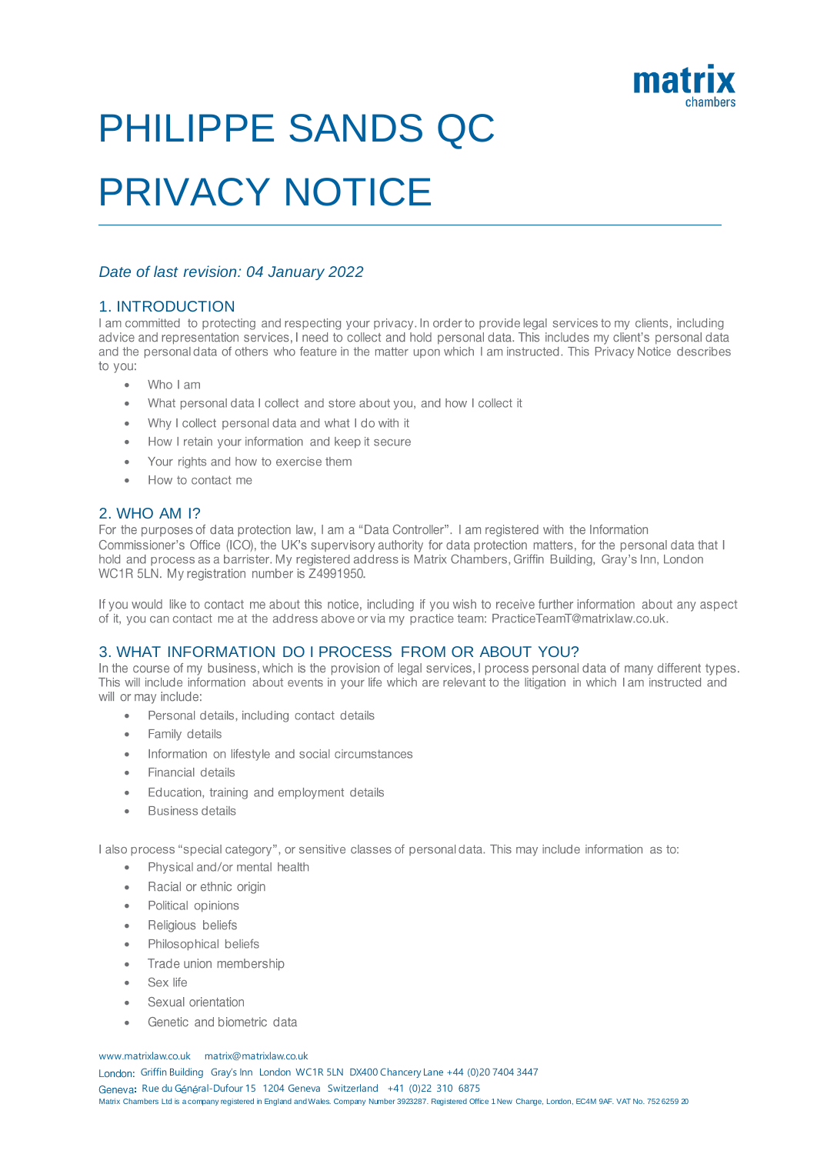

# PHILIPPE SANDS QC

# PRIVACY NOTICE

### *Date of last revision: 04 January 2022*

1. INTRODUCTION<br>I am committed to protecting and respecting your privacy. In order to provide legal services to my clients, including advice and representation services, I need to collect and hold personal data. This includes my client's personal data and the personal data of others who feature in the matter upon which I am instructed. This Privacy Notice describes to vou:

- Who I am •
- What personal data I collect and store about you, and how I collect it •
- Why I collect personal data and what I do with it •
- How I retain your information and keep it secure •
- Your rights and how to exercise them •
- How to contact me •

2. WHO AM 1?<br>For the purposes of data protection law, I am a "Data Controller". I am registered with the Information Commissioner's Office (ICO), the UK's supervisory authority for data protection matters, for the personal data that I hold and process as a barrister. My registered address is Matrix Chambers, Griffin Building, Gray's Inn, London WC1R 5LN. My registration number is Z4991950.

If you would like to contact me about this notice, including if you wish to receive further information about any aspect of it, you can contact me at the address above or via my practice team: PracticeTeamT@matrixlaw.co.uk.

### 3. WHAT INFORMATION DO I PROCESS FROM OR ABOUT YOU?

In the course of my business, which is the provision of legal services, I process personal data of many different types. This will include information about events in your life which are relevant to the litigation in which I am instructed and will or may include:

- Personal details, including contact details •
- Family details •
- Information on lifestyle and social circumstances •
- Financial details •
- Education, training and employment details •
- **Business details** •

I also process "special category", or sensitive classes of personal data. This may include information as to:

- Physical and/or mental health
- Racial or ethnic origin •
- Political opinions •
- Religious beliefs •
- Philosophical beliefs •
- Trade union membership •
- Sex life •
- Sexual orientation •
- Genetic and biometric data •

#### www.matrixlaw.co.uk matrix@matrixlaw.co.uk

London: Griffin Building Gray's Inn London WC1R 5LN DX400 Chancery Lane +44 (0)20 7404 3447 Geneva: Rue du Général-Dufour 15 1204 Geneva Switzerland +41 (0)22 310 6875 Matrix Chambers Ltd is a company registered in England and Wales. Company Number 3923287. Registered Office 1 New Change, London, EC4M 9AF. VAT No. 752 6259 20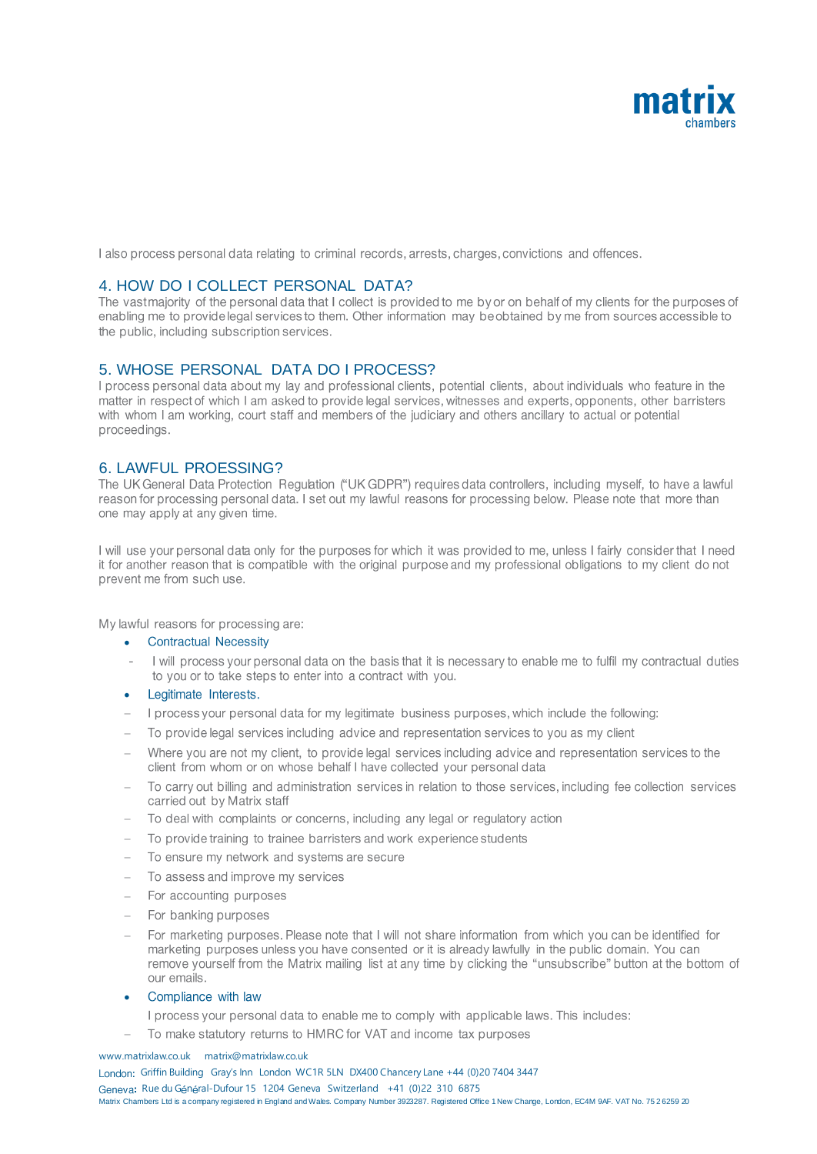

I also process personal data relating to criminal records, arrests, charges, convictions and offences.

4. HOW DO I COLLECT PERSONAL DATA?<br>The vastmajority of the personal data that I collect is provided to me by or on behalf of my clients for the purposes of enabling me to provide legal services to them. Other information may be obtained by me from sources accessible to the public, including subscription services.

5. WHOSE PERSONAL DATA DO I PROCESS?<br>I process personal data about my lay and professional clients, potential clients, about individuals who feature in the matter in respect of which I am asked to provide legal services, witnesses and experts, opponents, other barristers with whom I am working, court staff and members of the judiciary and others ancillary to actual or potential proceedings.

6. LAWFUL PROESSING?<br>The UK General Data Protection Regulation ("UK GDPR") requires data controllers, including myself, to have a lawful reason for processing personal data. I set out my lawful reasons for processing below. Please note that more than one may apply at any given time.

I will use your personal data only for the purposes for which it was provided to me, unless I fairly consider that I need it for another reason that is compatible with the original purpose and my professional obligations to my client do not prevent me from such use.

My lawful reasons for processing are:

#### **Contractual Necessity** •

- I will process your personal data on the basis that it is necessary to enable me to fulfil my contractual duties to you or to take steps to enter into a contract with you.
- Legitimate Interests. •
- I process your personal data for my legitimate business purposes, which include the following: −
- To provide legal services including advice and representation services to you as my client −
- Where you are not my client, to provide legal services including advice and representation services to the − client from whom or on whose behalf I have collected your personal data
- To carry out billing and administration services in relation to those services, including fee collection services − carried out by Matrix staff
- To deal with complaints or concerns, including any legal or regulatory action −
- To provide training to trainee barristers and work experience students −
- To ensure my network and systems are secure −
- To assess and improve my services −
- For accounting purposes −
- For banking purposes −
- For marketing purposes. Please note that I will not share information from which you can be identified for − marketing purposes unless you have consented or it is already lawfully in the public domain. You can remove yourself from the Matrix mailing list at any time by clicking the "unsubscribe" button at the bottom of our emails.
- Compliance with law •

−

- I process your personal data to enable me to comply with applicable laws. This includes:
- To make statutory returns to HMRC for VAT and income tax purposes

#### www.matrixlaw.co.uk matrix@matrixlaw.co.uk

London: Griffin Building Gray's Inn London WC1R 5LN DX400 Chancery Lane +44 (0)20 7404 3447 Geneva: Rue du Général-Dufour 15 1204 Geneva Switzerland +41 (0)22 310 6875 Matrix Chambers Ltd is a company registered in England and Wales. Company Number 3923287. Registered Office 1 New Change, London, EC4M 9AF. VAT No. 75 2 6259 20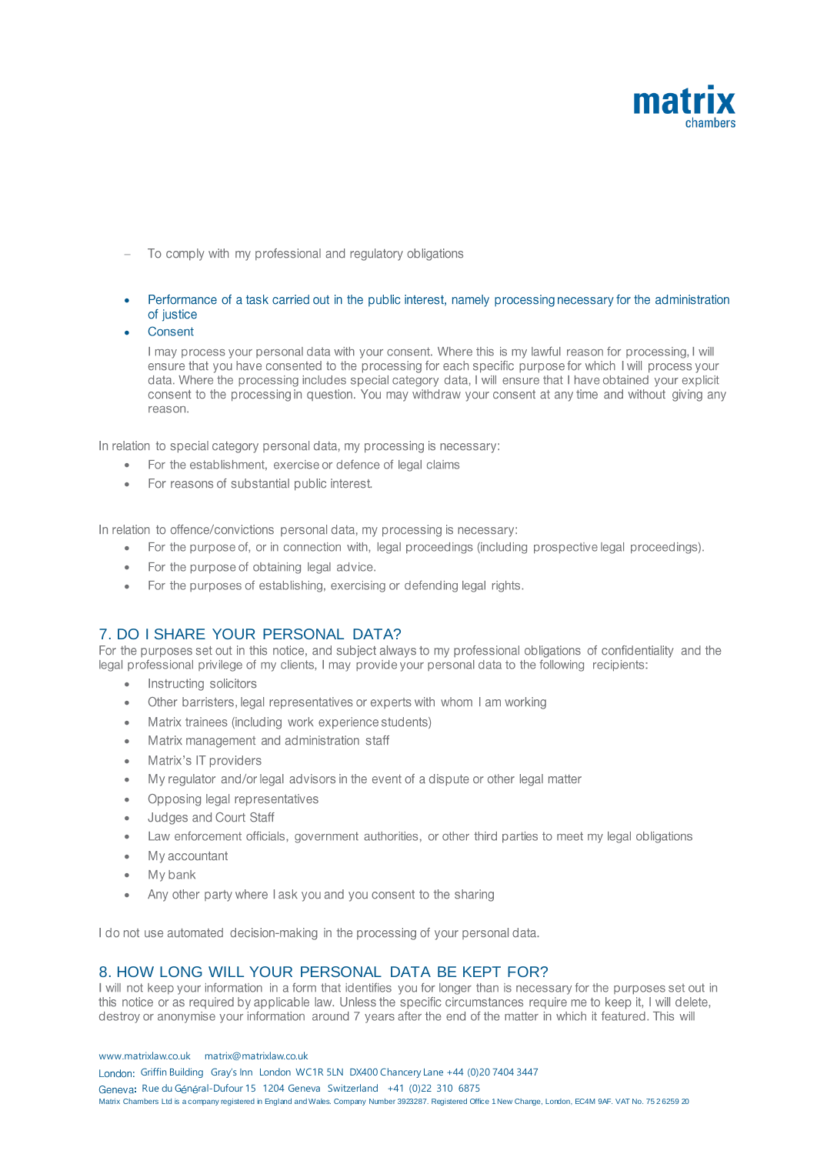

- To comply with my professional and regulatory obligations −
- Performance of a task carried out in the public interest, namely processing necessary for the administration of justice
- Consent •

I may process your personal data with your consent. Where this is my lawful reason for processing, I will ensure that you have consented to the processing for each specific purpose for which I will process your data. Where the processing includes special category data, I will ensure that I have obtained your explicit consent to the processing in question. You may withdraw your consent at any time and without giving any reason.

In relation to special category personal data, my processing is necessary:

- For the establishment, exercise or defence of legal claims •
- For reasons of substantial public interest.

In relation to offence/convictions personal data, my processing is necessary:

- For the purpose of, or in connection with, legal proceedings (including prospective legal proceedings). •
- For the purpose of obtaining legal advice. •
- For the purposes of establishing, exercising or defending legal rights. •

### 7. DO I SHARE YOUR PERSONAL DATA?

For the purposes set out in this notice, and subject always to my professional obligations of confidentiality and the legal professional privilege of my clients. I may provide your personal data to the following recipients:

- Instructing solicitors
- Other barristers, legal representatives or experts with whom I am working •
- Matrix trainees (including work experience students) •
- Matrix management and administration staff •
- Matrix's IT providers •
- My regulator and/or legal advisors in the event of a dispute or other legal matter •
- Opposing legal representatives •
- Judges and Court Staff •
- Law enforcement officials, government authorities, or other third parties to meet my legal obligations •
- My accountant •
- My bank •
- Any other party where I ask you and you consent to the sharing •

I do not use automated decision-making in the processing of your personal data.

### 8. HOW LONG WILL YOUR PERSONAL DATA BE KEPT FOR?

I will not keep your information in a form that identifies you for longer than is necessary for the purposes set out in this notice or as required by applicable law. Unless the specific circumstances require me to keep it, I will delete, destroy or anonymise your information around 7 years after the end of the matter in which it featured. This will

www.matrixlaw.co.uk matrix@matrixlaw.co.uk London: Griffin Building Gray's Inn London WC1R 5LN DX400 Chancery Lane +44 (0)20 7404 3447 Geneva: Rue du Général-Dufour 15 1204 Geneva Switzerland +41 (0)22 310 6875 Matrix Chambers Ltd is a company registered in England and Wales. Company Number 3923287. Registered Office 1 New Change, London, EC4M 9AF, VAT No. 75 26259 20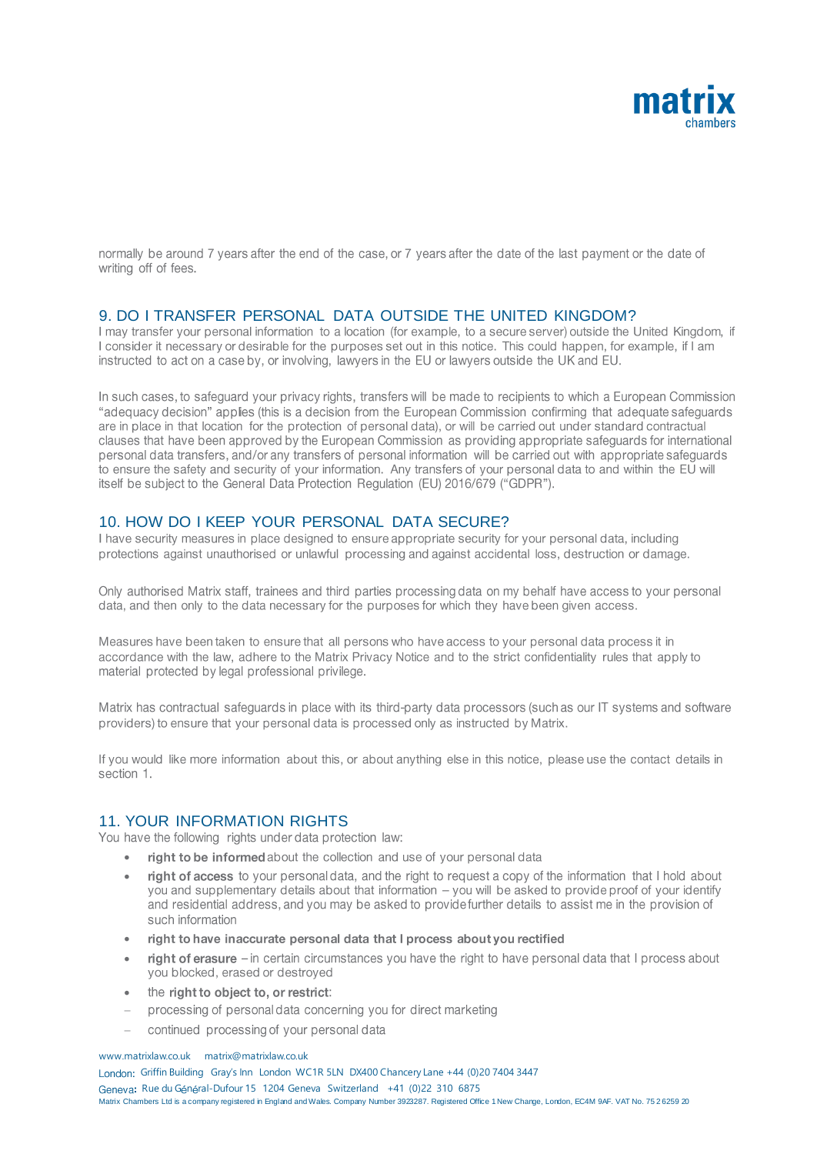

normally be around 7 years after the end of the case, or 7 years after the date of the last payment or the date of writing off of fees.

## 9. DO I TRANSFER PERSONAL DATA OUTSIDE THE UNITED KINGDOM?<br>I may transfer your personal information to a location (for example, to a secure server) outside the United Kingdom, if

I consider it necessary or desirable for the purposes set out in this notice. This could happen, for example, if I am instructed to act on a case by, or involving, lawyers in the EU or lawyers outside the UK and EU.

In such cases, to safeguard your privacy rights, transfers will be made to recipients to which a European Commission "adequacy decision" applies (this is a decision from the European Commission confirming that adequate safequards are in place in that location for the protection of personal data), or will be carried out under standard contractual clauses that have been approved by the European Commission as providing appropriate safeguards for international personal data transfers, and/or any transfers of personal information will be carried out with appropriate safeguards to ensure the safety and security of your information. Any transfers of your personal data to and within the EU will itself be subject to the General Data Protection Regulation (EU) 2016/679 ("GDPR").

### 10. HOW DO I KEEP YOUR PERSONAL DATA SECURE?

I have security measures in place designed to ensure appropriate security for your personal data, including protections against unauthorised or unlawful processing and against accidental loss, destruction or damage.

Only authorised Matrix staff, trainees and third parties processing data on my behalf have access to your personal data, and then only to the data necessary for the purposes for which they have been given access.

Measures have been taken to ensure that all persons who have access to your personal data process it in accordance with the law, adhere to the Matrix Privacy Notice and to the strict confidentiality rules that apply to material protected by legal professional privilege.

Matrix has contractual safeguards in place with its third-party data processors (such as our IT systems and software providers) to ensure that your personal data is processed only as instructed by Matrix.

If you would like more information about this, or about anything else in this notice, please use the contact details in section 1.

# 11. YOUR INFORMATION RIGHTS<br>You have the following rights under data protection law:

- right to be informed about the collection and use of your personal data •
- right of access to your personal data, and the right to request a copy of the information that I hold about • you and supplementary details about that information – you will be asked to provide proof of your identify and residential address, and you may be asked to provide further details to assist me in the provision of such information
- right to have inaccurate personal data that I process about you rectified •
- right of erasure in certain circumstances you have the right to have personal data that I process about • you blocked, erased or destroyed
- the right to object to, or restrict: •
- processing of personal data concerning you for direct marketing −
- continued processing of your personal data −

www.matrixlaw.co.uk matrix@matrixlaw.co.uk

London: Griffin Building Gray's Inn London WC1R 5LN DX400 Chancery Lane +44 (0)20 7404 3447 Geneva: Rue du Général-Dufour 15 1204 Geneva Switzerland +41 (0)22 310 6875 Matrix Chambers Ltd is a company registered in England and Wales. Company Number 3923287. Registered Office 1 New Change, London, EC4M 9AF. VAT No. 75 2 6259 20